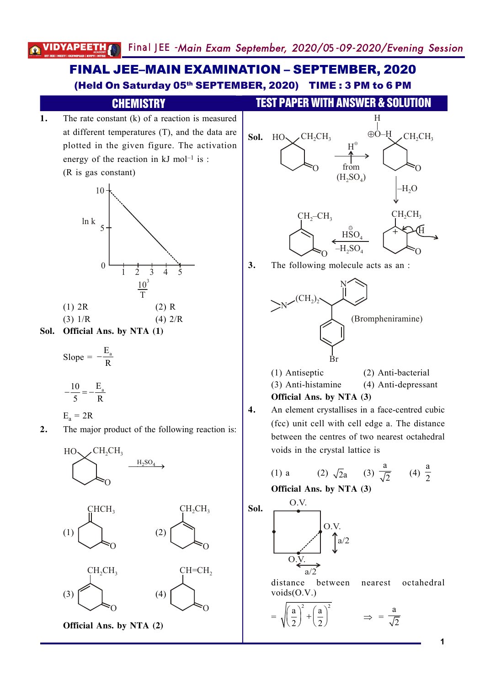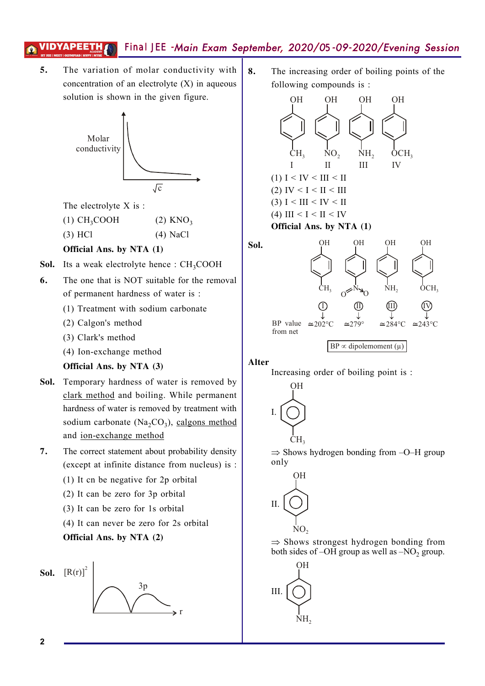**5.** The variation of molar conductivity with concentration of an electrolyte (X) in aqueous solution is shown in the given figure.



The electrolyte X is :

(1)  $CH_3COOH$  (2)  $KNO_3$ 

(3) HCl (4) NaCl

#### **Official Ans. by NTA (1)**

- **Sol.** Its a weak electrolyte hence : CH<sub>3</sub>COOH
- **6.** The one that is NOT suitable for the removal of permanent hardness of water is :
	- (1) Treatment with sodium carbonate
	- (2) Calgon's method
	- (3) Clark's method
	- (4) Ion-exchange method

#### **Official Ans. by NTA (3)**

- **Sol.** Temporary hardness of water is removed by clark method and boiling. While permanent hardness of water is removed by treatment with sodium carbonate ( $Na<sub>2</sub>CO<sub>3</sub>$ ), calgons method and ion-exchange method
- **7.** The correct statement about probability density (except at infinite distance from nucleus) is :
	- (1) It cn be negative for 2p orbital
	- (2) It can be zero for 3p orbital
	- (3) It can be zero for 1s orbital
	- (4) It can never be zero for 2s orbital

#### **Official Ans. by NTA (2)**



**8.** The increasing order of boiling points of the following compounds is :





Alter

Sol.

Increasing order of boiling point is :



 $\Rightarrow$  Shows hydrogen bonding from  $-O-H$  group only



 $\Rightarrow$  Shows strongest hydrogen bonding from both sides of  $-OH$  group as well as  $-NO<sub>2</sub>$  group.

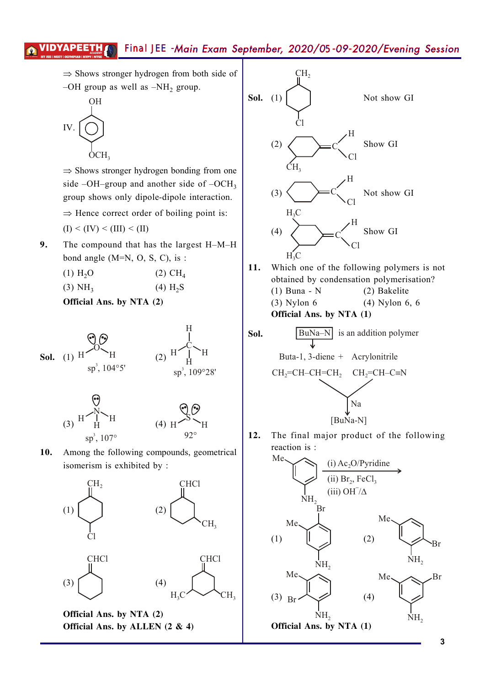$\Rightarrow$  Shows stronger hydrogen from both side of  $-OH$  group as well as  $-NH_2$  group.



 $\Rightarrow$  Shows stronger hydrogen bonding from one side –OH–group and another side of –OCH<sub>3</sub> group shows only dipole-dipole interaction.  $\Rightarrow$  Hence correct order of boiling point is:

- $(I) < (IV) < (III) < (II)$
- **9.** The compound that has the largest H–M–H bond angle  $(M=N, O, S, C)$ , is :
	- (1)  $H_2O$  (2)  $CH_4$
	- $(3) NH<sub>3</sub>$  $(4)$  H<sub>2</sub>S

**Official Ans. by NTA (2)** 





10. Among the following compounds, geometrical isomerism is exhibited by :



**Official Ans. by ALLEN**  $(2 \& 4)$ 



**Official Ans. by NTA (1)** 

**Poi+** BuNa–N is an addition polymer Buta-1, 3-diene + Acrylonitrile CH =CH–CH=CH<sup>22</sup> CH =CH–C N <sup>2</sup> º Na [BuNa-N]

12. The final major product of the following reaction is :

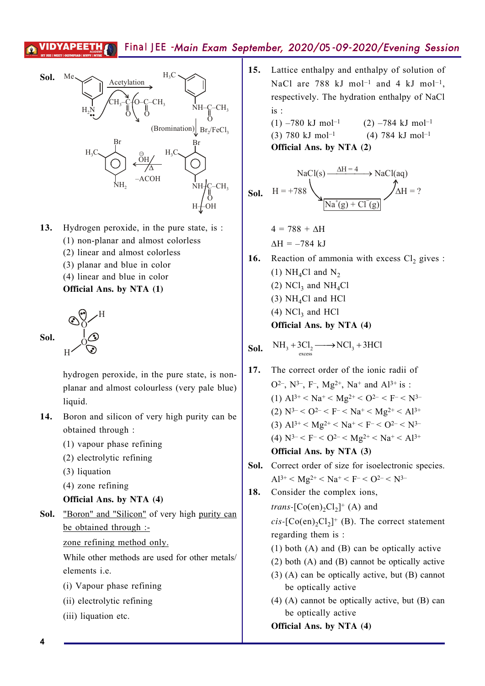

- **13.** Hydrogen peroxide, in the pure state, is :
	- (1) non-planar and almost colorless
	- (2) linear and almost colorless
	- (3) planar and blue in color
	- (4) linear and blue in color
	- **Official Ans. by NTA (1)**

H



hydrogen peroxide, in the pure state, is nonplanar and almost colourless (very pale blue) liquid.

- 14. Boron and silicon of very high purity can be obtained through :
	- (1) vapour phase refining
	- (2) electrolytic refining
	- (3) liquation
	- (4) zone refining
	- **Official Ans. by NTA (4)**
- **Sol.** "Boron" and "Silicon" of very high purity can be obtained through :
	- zone refining method only.

While other methods are used for other metals/ elements i.e.

- (i) Vapour phase refining
- (ii) electrolytic refining
- (iii) liquation etc.

15. Lattice enthalpy and enthalpy of solution of NaCl are 788 kJ mol<sup>-1</sup> and 4 kJ mol<sup>-1</sup>, respectively. The hydration enthalpy of NaCl is :

(1) –780 kJ mol<sup>-1</sup> (2) –784 kJ mol<sup>-1</sup> (3) 780 kJ mol<sup>-1</sup> (4) 784 kJ mol<sup>-1</sup> **Official Ans. by NTA (2)** 

**SoI.** 
$$
H = +788
$$
  
**SoI.**  $H = +788$   
 $Na^+(g) + Cl^-(g)$   
 $AA^+(g) + Cl^-(g)$ 

$$
4 = 788 + \Delta H
$$

$$
\Delta H = -784 \text{ kJ}
$$

- **16.** Reaction of ammonia with excess  $Cl_2$  gives : (1) NH<sub>4</sub>Cl and N<sub>2</sub> (2)  $NCl_3$  and  $NH_4Cl$  $(3)$  NH<sub>4</sub>Cl and HCl
	- $(4)$  NCl<sub>3</sub> and HCl

**Official Ans. by NTA (4)** 

**Sol.** 
$$
NH_3 + 3Cl_2 \longrightarrow NCl_3 + 3HCl
$$

- 17. The correct order of the ionic radii of O<sup>2-</sup>, N<sup>3-</sup>, F<sup>-</sup>, Mg<sup>2+</sup>, Na<sup>+</sup> and Al<sup>3+</sup> is : (1)  $Al^{3+} < Na^{+} < Mg^{2+} < O^{2-} < F^{-} < N^{3-}$ (2)  $N^{3-} < 0^{2-} < F^{-} < Na^{+} < Mg^{2+} < Al^{3+}$ (3)  $Al^{3+} < Mg^{2+} < Na^{+} < F^{-} < O^{2-} < N^{3-}$ (4)  $N^{3-} < F^{-} < 0^{2-} < Mg^{2+} < Na^{+} < Al^{3+}$ **Official Ans. by NTA (3)**
- Sol. Correct order of size for isoelectronic species.  $Al^{3+} < Mg^{2+} < Na^{+} < F^{-} < O^{2-} < N^{3-}$
- 18. Consider the complex ions,

*trans*-[ $Co(en)_2Cl_2$ ]<sup>+</sup> (A) and  $cis$ - $[Co(en)_2Cl_2]^+$  (B). The correct statement regarding them is :

- (1) both (A) and (B) can be optically active
- (2) both (A) and (B) cannot be optically active
- (3) (A) can be optically active, but (B) cannot be optically active
- (4) (A) cannot be optically active, but (B) can be optically active

**Official Ans. by NTA (4)** 

**4**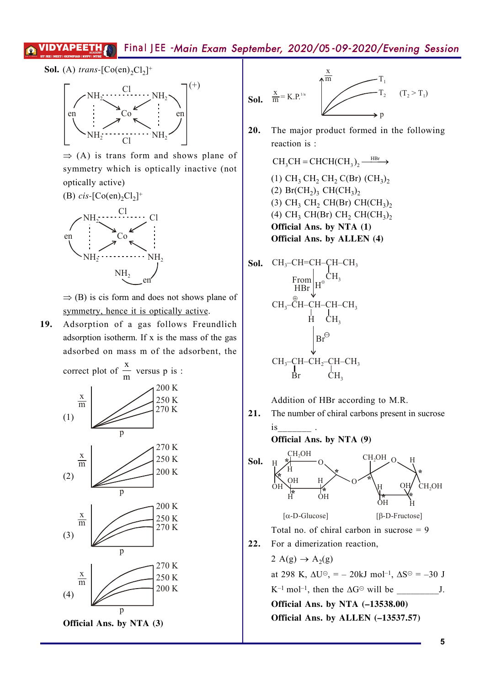**Sol.** (A) *trans*- $[Co(en)_2Cl_2]$ <sup>+</sup>



 $\Rightarrow$  (A) is trans form and shows plane of symmetry which is optically inactive (not optically active)



 $\Rightarrow$  (B) is cis form and does not shows plane of symmetry, hence it is optically active.

19. Adsorption of a gas follows Freundlich adsorption isotherm. If x is the mass of the gas adsorbed on mass m of the adsorbent, the





**20.** The major product formed in the following reaction is :

> $CH_2CH = CHCH(CH_2), \xrightarrow{HBr}$ (1)  $CH_3 CH_2 CH_2 C (Br) (CH_3)_2$ (2)  $Br(CH_2)_3$   $CH(CH_3)_2$ (3)  $CH_3 CH_2 CH(Br) CH(CH_3)_2$ (4)  $CH_3 CH(Br) CH_2 CH(CH_3)_2$ **Official Ans. by NTA (1) Official Ans. by ALLEN (4)**



Addition of HBr according to M.R.

21. The number of chiral carbons present in sucrose